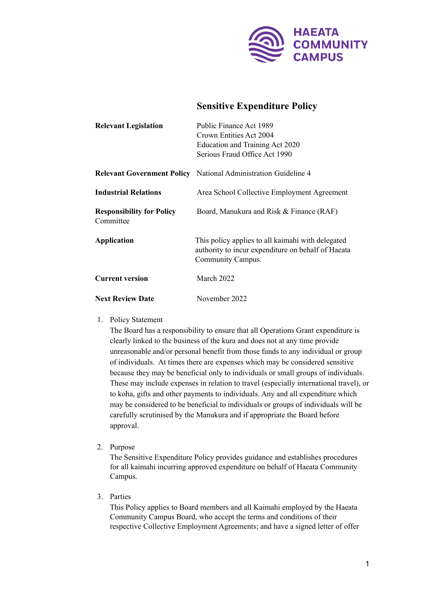

# **Sensitive Expenditure Policy**

| <b>Relevant Legislation</b>                   | Public Finance Act 1989<br>Crown Entities Act 2004<br>Education and Training Act 2020<br>Serious Fraud Office Act 1990       |
|-----------------------------------------------|------------------------------------------------------------------------------------------------------------------------------|
|                                               | <b>Relevant Government Policy</b> National Administration Guideline 4                                                        |
| <b>Industrial Relations</b>                   | Area School Collective Employment Agreement                                                                                  |
| <b>Responsibility for Policy</b><br>Committee | Board, Manukura and Risk & Finance (RAF)                                                                                     |
| Application                                   | This policy applies to all kaimahi with delegated<br>authority to incur expenditure on behalf of Haeata<br>Community Campus. |
| <b>Current version</b>                        | March 2022                                                                                                                   |
| <b>Next Review Date</b>                       | November 2022                                                                                                                |

1. Policy Statement

The Board has a responsibility to ensure that all Operations Grant expenditure is clearly linked to the business of the kura and does not at any time provide unreasonable and/or personal benefit from those funds to any individual or group of individuals. At times there are expenses which may be considered sensitive because they may be beneficial only to individuals or small groups of individuals. These may include expenses in relation to travel (especially international travel), or to koha, gifts and other payments to individuals. Any and all expenditure which may be considered to be beneficial to individuals or groups of individuals will be carefully scrutinised by the Manukura and if appropriate the Board before approval.

2. Purpose

The Sensitive Expenditure Policy provides guidance and establishes procedures for all kaimahi incurring approved expenditure on behalf of Haeata Community Campus.

3. Parties

This Policy applies to Board members and all Kaimahi employed by the Haeata Community Campus Board, who accept the terms and conditions of their respective Collective Employment Agreements; and have a signed letter of offer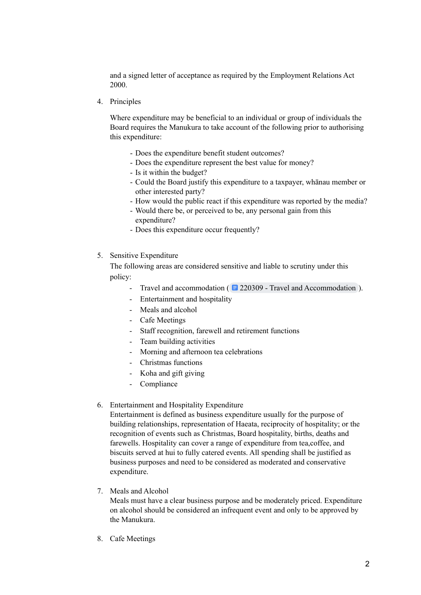and a signed letter of acceptance as required by the Employment Relations Act 2000.

4. Principles

Where expenditure may be beneficial to an individual or group of individuals the Board requires the Manukura to take account of the following prior to authorising this expenditure:

- Does the expenditure benefit student outcomes?
- Does the expenditure represent the best value for money?
- Is it within the budget?
- Could the Board justify this expenditure to a taxpayer, whānau member or other interested party?
- How would the public react if this expenditure was reported by the media?
- Would there be, or perceived to be, any personal gain from this expenditure?
- Does this expenditure occur frequently?
- 5. Sensitive Expenditure

The following areas are considered sensitive and liable to scrutiny under this policy:

- Travel and accommodation ( $\blacksquare$  220309 Travel and [Accommodation](https://docs.google.com/document/d/1V39jjwd7YAfY4WZXv-22YsFFG9-O_Fx31dV0AGkYqVQ/edit) ).
- Entertainment and hospitality
- Meals and alcohol
- Cafe Meetings
- Staff recognition, farewell and retirement functions
- Team building activities
- Morning and afternoon tea celebrations
- Christmas functions
- Koha and gift giving
- Compliance

## 6. Entertainment and Hospitality Expenditure

Entertainment is defined as business expenditure usually for the purpose of building relationships, representation of Haeata, reciprocity of hospitality; or the recognition of events such as Christmas, Board hospitality, births, deaths and farewells. Hospitality can cover a range of expenditure from tea,coffee, and biscuits served at hui to fully catered events. All spending shall be justified as business purposes and need to be considered as moderated and conservative expenditure.

7. Meals and Alcohol

Meals must have a clear business purpose and be moderately priced. Expenditure on alcohol should be considered an infrequent event and only to be approved by the Manukura.

8. Cafe Meetings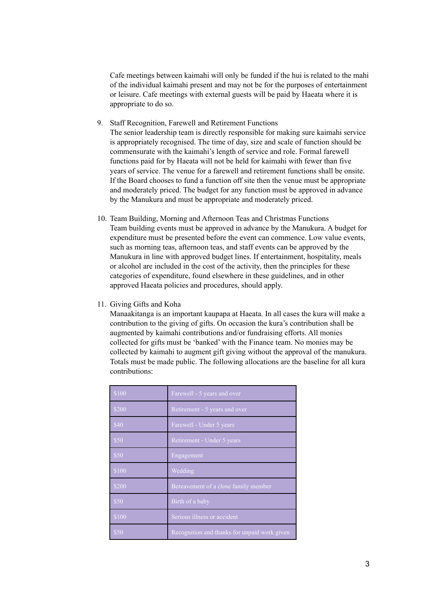Cafe meetings between kaimahi will only be funded if the hui is related to the mahi of the individual kaimahi present and may not be for the purposes of entertainment or leisure. Cafe meetings with external guests will be paid by Haeata where it is appropriate to do so.

9. Staff Recognition, Farewell and Retirement Functions

The senior leadership team is directly responsible for making sure kaimahi service is appropriately recognised. The time of day, size and scale of function should be commensurate with the kaimahi's length of service and role. Formal farewell functions paid for by Haeata will not be held for kaimahi with fewer than five years of service. The venue for a farewell and retirement functions shall be onsite. If the Board chooses to fund a function off site then the venue must be appropriate and moderately priced. The budget for any function must be approved in advance by the Manukura and must be appropriate and moderately priced.

- 10. Team Building, Morning and Afternoon Teas and Christmas Functions Team building events must be approved in advance by the Manukura. A budget for expenditure must be presented before the event can commence. Low value events, such as morning teas, afternoon teas, and staff events can be approved by the Manukura in line with approved budget lines. If entertainment, hospitality, meals or alcohol are included in the cost of the activity, then the principles for these categories of expenditure, found elsewhere in these guidelines, and in other approved Haeata policies and procedures, should apply.
- 11. Giving Gifts and Koha

Manaakitanga is an important kaupapa at Haeata. In all cases the kura will make a contribution to the giving of gifts. On occasion the kura's contribution shall be augmented by kaimahi contributions and/or fundraising efforts. All monies collected for gifts must be 'banked' with the Finance team. No monies may be collected by kaimahi to augment gift giving without the approval of the manukura. Totals must be made public. The following allocations are the baseline for all kura contributions:

| \$100 | Farewell - 5 years and over                  |
|-------|----------------------------------------------|
| \$200 | Retirement - 5 years and over                |
| \$40  | Farewell - Under 5 years                     |
| \$50  | Retirement - Under 5 years                   |
| \$50  | Engagement                                   |
| \$100 | Wedding                                      |
| \$200 | Bereavement of a close family member         |
| \$50  | Birth of a baby                              |
| \$100 | Serious illness or accident                  |
| \$50  | Recognition and thanks for unpaid work given |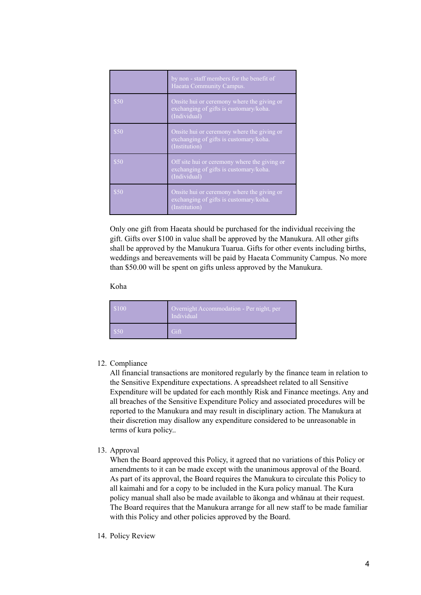|      | by non - staff members for the benefit of<br>Haeata Community Campus.                                  |
|------|--------------------------------------------------------------------------------------------------------|
| \$50 | Onsite hui or ceremony where the giving or<br>exchanging of gifts is customary/koha.<br>(Individual)   |
| \$50 | Onsite hui or ceremony where the giving or<br>exchanging of gifts is customary/koha.<br>(Institution)  |
| \$50 | Off site hui or ceremony where the giving or<br>exchanging of gifts is customary/koha.<br>(Individual) |
| \$50 | Onsite hui or ceremony where the giving or<br>exchanging of gifts is customary/koha.<br>(Institution)  |

Only one gift from Haeata should be purchased for the individual receiving the gift. Gifts over \$100 in value shall be approved by the Manukura. All other gifts shall be approved by the Manukura Tuarua. Gifts for other events including births, weddings and bereavements will be paid by Haeata Community Campus. No more than \$50.00 will be spent on gifts unless approved by the Manukura.

### Koha

| \$100 | Overnight Accommodation - Per night, per<br>Individual |
|-------|--------------------------------------------------------|
| \$50  | Gift                                                   |

## 12. Compliance

All financial transactions are monitored regularly by the finance team in relation to the Sensitive Expenditure expectations. A spreadsheet related to all Sensitive Expenditure will be updated for each monthly Risk and Finance meetings. Any and all breaches of the Sensitive Expenditure Policy and associated procedures will be reported to the Manukura and may result in disciplinary action. The Manukura at their discretion may disallow any expenditure considered to be unreasonable in terms of kura policy..

#### 13. Approval

When the Board approved this Policy, it agreed that no variations of this Policy or amendments to it can be made except with the unanimous approval of the Board. As part of its approval, the Board requires the Manukura to circulate this Policy to all kaimahi and for a copy to be included in the Kura policy manual. The Kura policy manual shall also be made available to ākonga and whānau at their request. The Board requires that the Manukura arrange for all new staff to be made familiar with this Policy and other policies approved by the Board.

#### 14. Policy Review